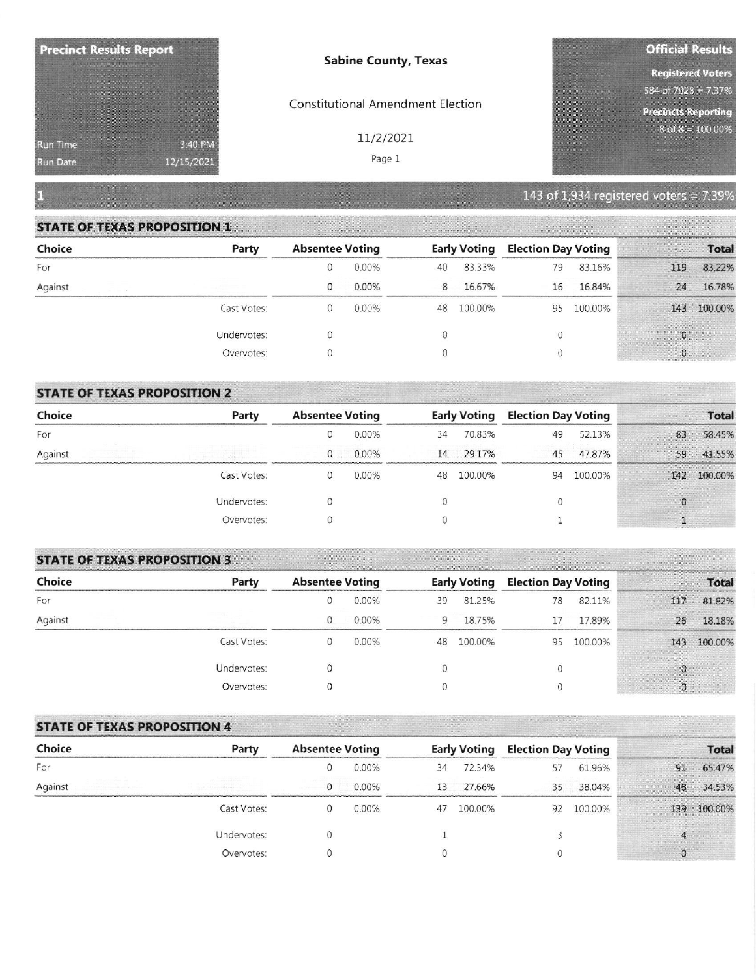| <b>Precinct Results Report</b> |            | <b>Sabine County, Texas</b>              | <b>Official Results</b>                |  |  |
|--------------------------------|------------|------------------------------------------|----------------------------------------|--|--|
|                                |            |                                          | <b>Registered Voters</b>               |  |  |
|                                |            |                                          | 584 of 7928 = $7.37\%$                 |  |  |
|                                |            | <b>Constitutional Amendment Election</b> | <b>Precincts Reporting</b>             |  |  |
| <b>Run Time</b>                | 3:40 PM    | 11/2/2021                                | $8$ of $8 = 100.00\%$                  |  |  |
| <b>Run Date</b>                | 12/15/2021 | Page 1                                   |                                        |  |  |
|                                |            |                                          | 143 of 1,934 registered voters = 7.39% |  |  |

## **STATE OF TEXAS PROPOSITION 1**

| Choice  | Party       | <b>Absentee Voting</b> |       | <b>Early Voting</b> |         | <b>Election Day Voting</b> |         | <b>Total</b> |             |  |
|---------|-------------|------------------------|-------|---------------------|---------|----------------------------|---------|--------------|-------------|--|
| For     |             |                        | 0.00% | 40                  | 83.33%  | 79                         | 83.16%  | 119          | 83.22%      |  |
| Against |             |                        | 0.00% | 8                   | 16.67%  | 16                         | 16.84%  | 24           | 16.78%      |  |
|         | Cast Votes: |                        | 0.00% | 48                  | 100.00% | 95                         | 100.00% |              | 143 100.00% |  |
|         | Undervotes: |                        |       |                     |         |                            |         |              |             |  |
|         | Overvotes:  |                        |       |                     |         |                            |         |              |             |  |

# **STATE OF TEXAS PROPOSITION 2**

| Choice  | Party       | <b>Absentee Voting</b> |          | <b>Early Voting</b> |         | <b>Election Day Voting</b> |         |    | <b>Total</b> |
|---------|-------------|------------------------|----------|---------------------|---------|----------------------------|---------|----|--------------|
| For     |             |                        | $0.00\%$ | 34                  | 70.83%  | 49                         | 52.13%  | 83 | 58.45%       |
| Against |             |                        | 0.00%    | 14                  | 29.17%  | 45                         | 47.87%  | 59 | 41.55%       |
|         | Cast Votes: |                        | 0.00%    | 48                  | 100.00% | 94                         | 100.00% |    | 142 100.00%  |
|         | Undervotes: |                        |          |                     |         |                            |         |    |              |
|         | Overvotes:  |                        |          |                     |         |                            |         |    |              |

## **STATE OF TEXAS PROPOSITION 3**

| Choice  | Party       | <b>Absentee Voting</b> |          | <b>Early Voting</b> |         | <b>Election Day Voting</b> |         | <b>Total</b> |             |  |
|---------|-------------|------------------------|----------|---------------------|---------|----------------------------|---------|--------------|-------------|--|
| For     |             |                        | 0.00%    | 39                  | 81.25%  | 78                         | 82.11%  | 117          | 81.82%      |  |
| Against |             |                        | 0.00%    | 9                   | 18.75%  |                            | 17.89%  | 26           | 18.18%      |  |
|         | Cast Votes: |                        | $0.00\%$ | 48                  | 100.00% | 95                         | 100.00% |              | 143 100.00% |  |
|         | Undervotes: |                        |          |                     |         |                            |         |              |             |  |
|         | Overvotes:  |                        |          |                     |         |                            |         |              |             |  |

# **STATE OF TEXAS PROPOSITION 4**

| Choice  | Party       | <b>Absentee Voting</b> |          | <b>Early Voting</b> |         | <b>Election Day Voting</b> |         |     | <b>Total</b> |
|---------|-------------|------------------------|----------|---------------------|---------|----------------------------|---------|-----|--------------|
| For     |             |                        | $0.00\%$ | 34                  | 72.34%  | 57                         | 61.96%  | 91  | 65.47%       |
| Against |             |                        | $0.00\%$ | 13                  | 27.66%  | 35                         | 38.04%  | 48  | 34.53%       |
|         | Cast Votes: |                        | 0.00%    | 47                  | 100.00% | 92                         | 100.00% | 139 | 100.00%      |
|         | Undervotes: |                        |          |                     |         |                            |         |     |              |
|         | Overvotes:  |                        |          |                     |         |                            |         |     |              |